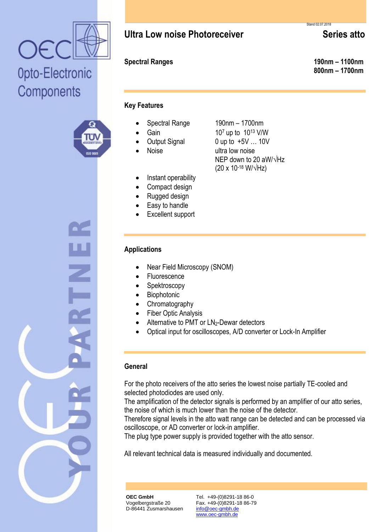

## Opto-Electronic Components



## **Ultra Low noise Photoreceiver** Series atto

**Spectral Ranges 190nm – 1100nm 800nm – 1700nm**

#### **Key Features**

- Spectral Range 190nm 1700nm
- Gain  $10^7$  up to  $10^{13}$  V/W
- Output Signal 0 up to +5V ... 10V
- Noise ultra low noise
- Instant operability
- Compact design
- Rugged design
- Easy to handle
- Excellent support

### **Applications**

- Near Field Microscopy (SNOM)
- Fluorescence
- Spektroscopy
- **•** Biophotonic
- Chromatography
- Fiber Optic Analysis
- Alternative to PMT or LN<sub>2</sub>-Dewar detectors
- Optical input for oscilloscopes, A/D converter or Lock-In Amplifier

NEP down to 20 aW/√Hz

 $(20 \times 10^{-18} \text{ W}/\sqrt{\text{Hz}})$ 

### **General**

For the photo receivers of the atto series the lowest noise partially TE-cooled and selected photodiodes are used only.

The amplification of the detector signals is performed by an amplifier of our atto series, the noise of which is much lower than the noise of the detector.

Therefore signal levels in the atto watt range can be detected and can be processed via oscilloscope, or AD converter or lock-in amplifier.

The plug type power supply is provided together with the atto sensor.

All relevant technical data is measured individually and documented.

**OEC GmbH** Vogelbergstraße 20 D-86441 Zusmarshausen Tel. +49-(0)8291-18 86-0 Fax. +49-(0)8291-18 86-79 info@oec-gmbh.de www.oec-gmbh.de